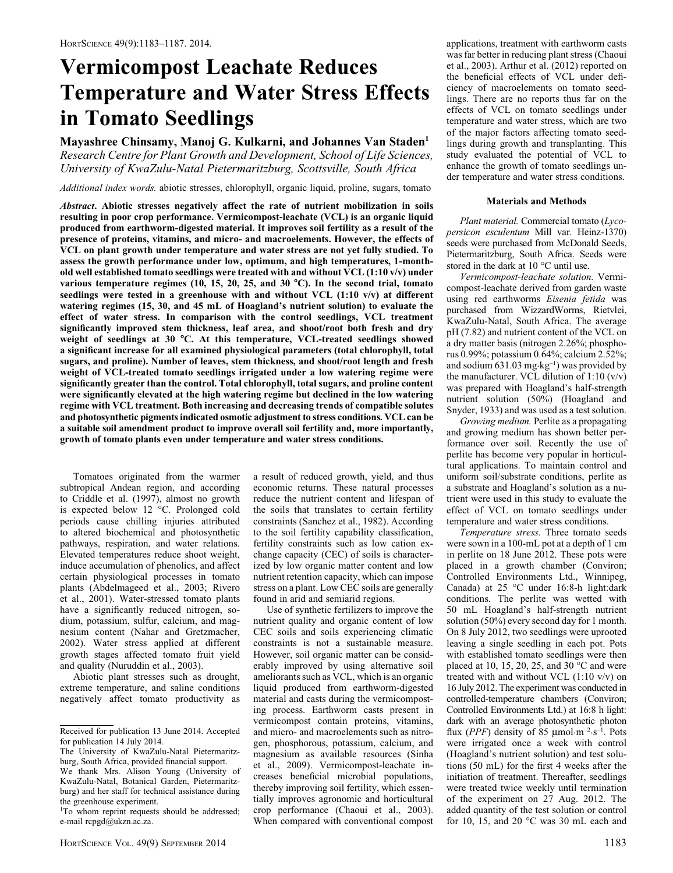# Vermicompost Leachate Reduces Temperature and Water Stress Effects in Tomato Seedlings

Mayashree Chinsamy, Manoj G. Kulkarni, and Johannes Van Staden<sup>1</sup> Research Centre for Plant Growth and Development, School of Life Sciences, University of KwaZulu-Natal Pietermaritzburg, Scottsville, South Africa

Additional index words. abiotic stresses, chlorophyll, organic liquid, proline, sugars, tomato

Abstract. Abiotic stresses negatively affect the rate of nutrient mobilization in soils resulting in poor crop performance. Vermicompost-leachate (VCL) is an organic liquid produced from earthworm-digested material. It improves soil fertility as a result of the presence of proteins, vitamins, and micro- and macroelements. However, the effects of VCL on plant growth under temperature and water stress are not yet fully studied. To assess the growth performance under low, optimum, and high temperatures, 1-monthold well established tomato seedlings were treated with and without VCL (1:10 v/v) under various temperature regimes  $(10, 15, 20, 25,$  and  $30 °C$ ). In the second trial, tomato seedlings were tested in a greenhouse with and without VCL  $(1:10 \text{ v/v})$  at different watering regimes (15, 30, and 45 mL of Hoagland's nutrient solution) to evaluate the effect of water stress. In comparison with the control seedlings, VCL treatment significantly improved stem thickness, leaf area, and shoot/root both fresh and dry weight of seedlings at 30 °C. At this temperature, VCL-treated seedlings showed a significant increase for all examined physiological parameters (total chlorophyll, total sugars, and proline). Number of leaves, stem thickness, and shoot/root length and fresh weight of VCL-treated tomato seedlings irrigated under a low watering regime were significantly greater than the control. Total chlorophyll, total sugars, and proline content were significantly elevated at the high watering regime but declined in the low watering regime with VCL treatment. Both increasing and decreasing trends of compatible solutes and photosynthetic pigments indicated osmotic adjustment to stress conditions. VCL can be a suitable soil amendment product to improve overall soil fertility and, more importantly, growth of tomato plants even under temperature and water stress conditions.

Tomatoes originated from the warmer subtropical Andean region, and according to Criddle et al. (1997), almost no growth is expected below 12 °C. Prolonged cold periods cause chilling injuries attributed to altered biochemical and photosynthetic pathways, respiration, and water relations. Elevated temperatures reduce shoot weight, induce accumulation of phenolics, and affect certain physiological processes in tomato plants (Abdelmageed et al., 2003; Rivero et al., 2001). Water-stressed tomato plants have a significantly reduced nitrogen, sodium, potassium, sulfur, calcium, and magnesium content (Nahar and Gretzmacher, 2002). Water stress applied at different growth stages affected tomato fruit yield and quality (Nuruddin et al., 2003).

Abiotic plant stresses such as drought, extreme temperature, and saline conditions negatively affect tomato productivity as

a result of reduced growth, yield, and thus economic returns. These natural processes reduce the nutrient content and lifespan of the soils that translates to certain fertility constraints (Sanchez et al., 1982). According to the soil fertility capability classification, fertility constraints such as low cation exchange capacity (CEC) of soils is characterized by low organic matter content and low nutrient retention capacity, which can impose stress on a plant. Low CEC soils are generally found in arid and semiarid regions.

Use of synthetic fertilizers to improve the nutrient quality and organic content of low CEC soils and soils experiencing climatic constraints is not a sustainable measure. However, soil organic matter can be considerably improved by using alternative soil ameliorants such as VCL, which is an organic liquid produced from earthworm-digested material and casts during the vermicomposting process. Earthworm casts present in vermicompost contain proteins, vitamins, and micro- and macroelements such as nitrogen, phosphorous, potassium, calcium, and magnesium as available resources (Sinha et al., 2009). Vermicompost-leachate increases beneficial microbial populations, thereby improving soil fertility, which essentially improves agronomic and horticultural crop performance (Chaoui et al., 2003). When compared with conventional compost applications, treatment with earthworm casts was far better in reducing plant stress (Chaoui et al., 2003). Arthur et al. (2012) reported on the beneficial effects of VCL under deficiency of macroelements on tomato seedlings. There are no reports thus far on the effects of VCL on tomato seedlings under temperature and water stress, which are two of the major factors affecting tomato seedlings during growth and transplanting. This study evaluated the potential of VCL to enhance the growth of tomato seedlings under temperature and water stress conditions.

## Materials and Methods

Plant material. Commercial tomato (Lycopersicon esculentum Mill var. Heinz-1370) seeds were purchased from McDonald Seeds, Pietermaritzburg, South Africa. Seeds were stored in the dark at  $10^{\circ}$ C until use.

Vermicompost-leachate solution. Vermicompost-leachate derived from garden waste using red earthworms Eisenia fetida was purchased from WizzardWorms, Rietvlei, KwaZulu-Natal, South Africa. The average pH (7.82) and nutrient content of the VCL on a dry matter basis (nitrogen 2.26%; phosphorus 0.99%; potassium 0.64%; calcium 2.52%; and sodium 631.03 mg·kg–1) was provided by the manufacturer. VCL dilution of  $1:10 \text{ (v/v)}$ was prepared with Hoagland's half-strength nutrient solution (50%) (Hoagland and Snyder, 1933) and was used as a test solution.

Growing medium. Perlite as a propagating and growing medium has shown better performance over soil. Recently the use of perlite has become very popular in horticultural applications. To maintain control and uniform soil/substrate conditions, perlite as a substrate and Hoagland's solution as a nutrient were used in this study to evaluate the effect of VCL on tomato seedlings under temperature and water stress conditions.

Temperature stress. Three tomato seeds were sown in a 100-mL pot at a depth of 1 cm in perlite on 18 June 2012. These pots were placed in a growth chamber (Conviron; Controlled Environments Ltd., Winnipeg, Canada) at  $25$  °C under 16:8-h light:dark conditions. The perlite was wetted with 50 mL Hoagland's half-strength nutrient solution (50%) every second day for 1 month. On 8 July 2012, two seedlings were uprooted leaving a single seedling in each pot. Pots with established tomato seedlings were then placed at 10, 15, 20, 25, and 30  $^{\circ}$ C and were treated with and without VCL  $(1:10 \text{ v/v})$  on 16 July 2012. The experiment was conducted in controlled-temperature chambers (Conviron; Controlled Environments Ltd.) at 16:8 h light: dark with an average photosynthetic photon flux (PPF) density of 85  $\mu$ mol·m<sup>-2</sup>·s<sup>-1</sup>. Pots were irrigated once a week with control (Hoagland's nutrient solution) and test solutions (50 mL) for the first 4 weeks after the initiation of treatment. Thereafter, seedlings were treated twice weekly until termination of the experiment on 27 Aug. 2012. The added quantity of the test solution or control for 10, 15, and 20  $^{\circ}$ C was 30 mL each and

Received for publication 13 June 2014. Accepted for publication 14 July 2014.

The University of KwaZulu-Natal Pietermaritzburg, South Africa, provided financial support.

We thank Mrs. Alison Young (University of KwaZulu-Natal, Botanical Garden, Pietermaritzburg) and her staff for technical assistance during the greenhouse experiment.

<sup>&</sup>lt;sup>1</sup>To whom reprint requests should be addressed; e-mail rcpgd@ukzn.ac.za.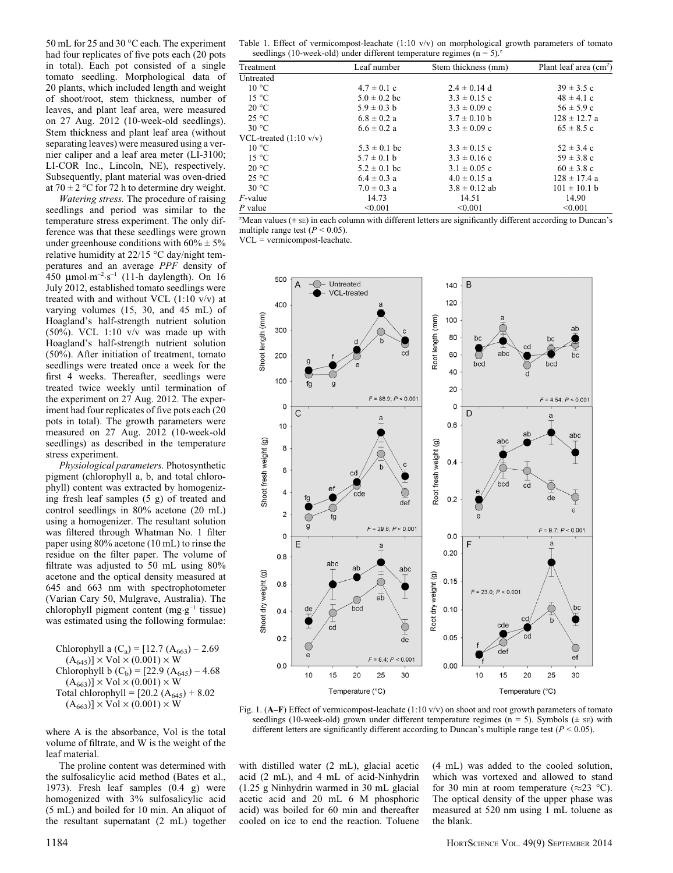50 mL for 25 and 30 °C each. The experiment had four replicates of five pots each (20 pots in total). Each pot consisted of a single tomato seedling. Morphological data of 20 plants, which included length and weight of shoot/root, stem thickness, number of leaves, and plant leaf area, were measured on 27 Aug. 2012 (10-week-old seedlings). Stem thickness and plant leaf area (without separating leaves) were measured using a vernier caliper and a leaf area meter (LI-3100; LI-COR Inc., Lincoln, NE), respectively. Subsequently, plant material was oven-dried at  $70 \pm 2$  °C for 72 h to determine dry weight.

Watering stress. The procedure of raising seedlings and period was similar to the temperature stress experiment. The only difference was that these seedlings were grown under greenhouse conditions with  $60\% \pm 5\%$ relative humidity at 22/15 °C day/night temperatures and an average PPF density of 450  $\mu$ mol·m<sup>-2</sup>·s<sup>-1</sup> (11-h daylength). On 16 July 2012, established tomato seedlings were treated with and without VCL  $(1:10 \text{ v/v})$  at varying volumes (15, 30, and 45 mL) of Hoagland's half-strength nutrient solution (50%). VCL 1:10 v/v was made up with Hoagland's half-strength nutrient solution (50%). After initiation of treatment, tomato seedlings were treated once a week for the first 4 weeks. Thereafter, seedlings were treated twice weekly until termination of the experiment on 27 Aug. 2012. The experiment had four replicates of five pots each (20 pots in total). The growth parameters were measured on 27 Aug. 2012 (10-week-old seedlings) as described in the temperature stress experiment.

Physiological parameters. Photosynthetic pigment (chlorophyll a, b, and total chlorophyll) content was extracted by homogenizing fresh leaf samples (5 g) of treated and control seedlings in 80% acetone (20 mL) using a homogenizer. The resultant solution was filtered through Whatman No. 1 filter paper using 80% acetone (10 mL) to rinse the residue on the filter paper. The volume of filtrate was adjusted to 50 mL using 80% acetone and the optical density measured at 645 and 663 nm with spectrophotometer (Varian Cary 50, Mulgrave, Australia). The chlorophyll pigment content (mg·g–1 tissue) was estimated using the following formulae:

Chlorophyll a  $(C_a) = [12.7 (A_{663}) - 2.69]$  $(A_{645})] \times$  Vol  $\times$  (0.001)  $\times$  W Chlorophyll b  $(C_b)$  = [22.9 (A<sub>645</sub>) – 4.68  $(A_{663})] \times$  Vol  $\times$  (0.001)  $\times$  W Total chlorophyll =  $[20.2 (A_{645}) + 8.02]$  $(A_{663})] \times$  Vol  $\times$  (0.001)  $\times$  W

where A is the absorbance, Vol is the total volume of filtrate, and W is the weight of the leaf material.

The proline content was determined with the sulfosalicylic acid method (Bates et al., 1973). Fresh leaf samples (0.4 g) were homogenized with 3% sulfosalicylic acid (5 mL) and boiled for 10 min. An aliquot of the resultant supernatant (2 mL) together

Table 1. Effect of vermicompost-leachate (1:10 v/v) on morphological growth parameters of tomato<br>seedlings (10 yields of different temperature resines ( $n = 5$ )  $\frac{z}{2}$  $(10 \text{ mod } 5)$ 

| Treatment                        | Leaf number      | Stem thickness (mm) | Plant leaf area $(cm2)$ |
|----------------------------------|------------------|---------------------|-------------------------|
| Untreated                        |                  |                     |                         |
| $10^{\circ}$ C                   | $4.7 \pm 0.1$ c  | $2.4 \pm 0.14$ d    | $39 \pm 3.5$ c          |
| $15^{\circ}$ C                   | $5.0 \pm 0.2$ bc | $3.3 \pm 0.15$ c    | $48 \pm 4.1$ c          |
| $20^{\circ}$ C                   | $5.9 \pm 0.3$ b  | $3.3 \pm 0.09$ c    | $56 \pm 5.9$ c          |
| $25^{\circ}$ C                   | $6.8 \pm 0.2$ a  | $3.7 \pm 0.10$ b    | $128 \pm 12.7$ a        |
| 30 °C                            | $6.6 \pm 0.2 a$  | $3.3 \pm 0.09$ c    | $65 \pm 8.5$ c          |
| VCL-treated $(1:10 \text{ v/v})$ |                  |                     |                         |
| $10^{\circ}$ C                   | $5.3 \pm 0.1$ bc | $3.3 \pm 0.15$ c    | $52 \pm 3.4$ c          |
| $15^{\circ}$ C                   | $5.7 \pm 0.1$ b  | $3.3 \pm 0.16$ c    | $59 \pm 3.8$ c          |
| $20^{\circ}$ C                   | $5.2 \pm 0.1$ bc | $3.1 \pm 0.05$ c    | $60 \pm 3.8$ c          |
| $25^{\circ}$ C                   | $6.4 \pm 0.3$ a  | $4.0 \pm 0.15$ a    | $128 \pm 17.4$ a        |
| 30 °C                            | $7.0 \pm 0.3$ a  | $3.8 \pm 0.12$ ab   | $101 \pm 10.1$ b        |
| $F$ -value                       | 14.73            | 14.51               | 14.90                   |
| $P$ value                        | < 0.001          | < 0.001             | < 0.001                 |

z Mean values (± SE) in each column with different letters are significantly different according to Duncan's multiple range test ( $P < 0.05$ ).

VCL = vermicompost-leachate.



Fig. 1. (A–F) Effect of vermicompost-leachate (1:10 v/v) on shoot and root growth parameters of tomato seedlings (10-week-old) grown under different temperature regimes (n = 5). Symbols ( $\pm$  sE) with different letters are significantly different according to Duncan's multiple range test ( $P < 0.05$ ).

with distilled water (2 mL), glacial acetic acid (2 mL), and 4 mL of acid-Ninhydrin (1.25 g Ninhydrin warmed in 30 mL glacial acetic acid and 20 mL 6 M phosphoric acid) was boiled for 60 min and thereafter cooled on ice to end the reaction. Toluene

(4 mL) was added to the cooled solution, which was vortexed and allowed to stand for 30 min at room temperature ( $\approx$ 23 °C). The optical density of the upper phase was measured at 520 nm using 1 mL toluene as the blank.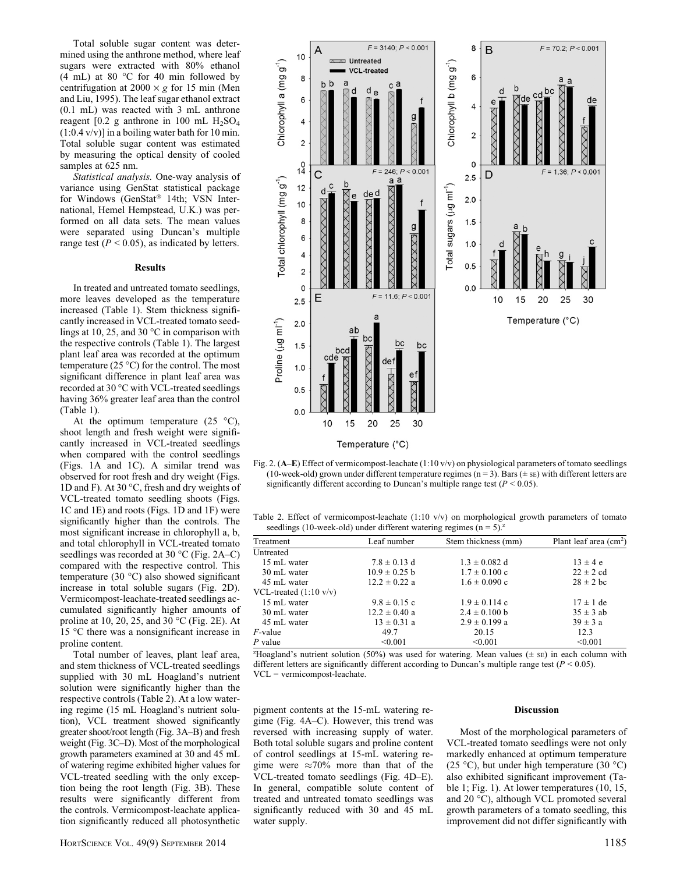Total soluble sugar content was determined using the anthrone method, where leaf sugars were extracted with 80% ethanol  $(4 \text{ mL})$  at 80 °C for 40 min followed by centrifugation at  $2000 \times g$  for 15 min (Men and Liu, 1995). The leaf sugar ethanol extract (0.1 mL) was reacted with 3 mL anthrone reagent [0.2 g anthrone in 100 mL  $H<sub>2</sub>SO<sub>4</sub>$ (1:0.4 v/v)] in a boiling water bath for 10 min. Total soluble sugar content was estimated by measuring the optical density of cooled samples at 625 nm.

Statistical analysis. One-way analysis of variance using GenStat statistical package for Windows (GenStat® 14th; VSN International, Hemel Hempstead, U.K.) was performed on all data sets. The mean values were separated using Duncan's multiple range test ( $P < 0.05$ ), as indicated by letters.

## Results

In treated and untreated tomato seedlings, more leaves developed as the temperature increased (Table 1). Stem thickness significantly increased in VCL-treated tomato seedlings at 10, 25, and 30  $^{\circ}$ C in comparison with the respective controls (Table 1). The largest plant leaf area was recorded at the optimum temperature  $(25 °C)$  for the control. The most significant difference in plant leaf area was recorded at 30 °C with VCL-treated seedlings having 36% greater leaf area than the control (Table 1).

At the optimum temperature  $(25 \text{ °C}),$ shoot length and fresh weight were significantly increased in VCL-treated seedlings when compared with the control seedlings (Figs. 1A and 1C). A similar trend was observed for root fresh and dry weight (Figs. 1D and F). At 30  $\degree$ C, fresh and dry weights of VCL-treated tomato seedling shoots (Figs. 1C and 1E) and roots (Figs. 1D and 1F) were significantly higher than the controls. The most significant increase in chlorophyll a, b, and total chlorophyll in VCL-treated tomato seedlings was recorded at 30  $^{\circ}$ C (Fig. 2A–C) compared with the respective control. This temperature (30  $^{\circ}$ C) also showed significant increase in total soluble sugars (Fig. 2D). Vermicompost-leachate-treated seedlings accumulated significantly higher amounts of proline at 10, 20, 25, and 30  $^{\circ}$ C (Fig. 2E). At 15 °C there was a nonsignificant increase in proline content.

Total number of leaves, plant leaf area, and stem thickness of VCL-treated seedlings supplied with 30 mL Hoagland's nutrient solution were significantly higher than the respective controls (Table 2). At a low watering regime (15 mL Hoagland's nutrient solution), VCL treatment showed significantly greater shoot/root length (Fig. 3A–B) and fresh weight (Fig. 3C–D). Most of the morphological growth parameters examined at 30 and 45 mL of watering regime exhibited higher values for VCL-treated seedling with the only exception being the root length (Fig. 3B). These results were significantly different from the controls. Vermicompost-leachate application significantly reduced all photosynthetic



Fig. 2. (A–E) Effect of vermicompost-leachate (1:10 v/v) on physiological parameters of tomato seedlings (10-week-old) grown under different temperature regimes  $(n = 3)$ . Bars  $(\pm \text{ se})$  with different letters are significantly different according to Duncan's multiple range test ( $P < 0.05$ ).

Table 2. Effect of vermicompost-leachate  $(1:10 \text{ v/v})$  on morphological growth parameters of tomato seedlings (10-week-old) under different watering regimes  $(n = 5)^2$ .

| Treatment                        | Leaf number       | Stem thickness (mm) | Plant leaf area $(cm2)$ |
|----------------------------------|-------------------|---------------------|-------------------------|
| Untreated                        |                   |                     |                         |
| 15 mL water                      | $7.8 \pm 0.13$ d  | $1.3 \pm 0.082$ d   | $13 \pm 4 e$            |
| 30 mL water                      | $10.9 \pm 0.25$ b | $1.7 \pm 0.100$ c   | $22 \pm 2$ cd           |
| 45 mL water                      | $12.2 \pm 0.22$ a | $1.6 \pm 0.090$ c   | $28 \pm 2$ bc           |
| VCL-treated $(1:10 \text{ v/v})$ |                   |                     |                         |
| 15 mL water                      | $9.8 \pm 0.15$ c  | $1.9 \pm 0.114$ c   | $17 \pm 1$ de           |
| 30 mL water                      | $12.2 \pm 0.40$ a | $2.4 \pm 0.100$ b   | $35 \pm 3$ ab           |
| 45 mL water                      | $13 \pm 0.31$ a   | $2.9 \pm 0.199$ a   | $39 \pm 3$ a            |
| $F$ -value                       | 49.7              | 20.15               | 12.3                    |
| $P$ value                        | < 0.001           | < 0.001             | < 0.001                 |

 $z$ Hoagland's nutrient solution (50%) was used for watering. Mean values ( $\pm$  sE) in each column with different letters are significantly different according to Duncan's multiple range test ( $P < 0.05$ ). VCL = vermicompost-leachate.

pigment contents at the 15-mL watering regime (Fig. 4A–C). However, this trend was reversed with increasing supply of water. Both total soluble sugars and proline content of control seedlings at 15-mL watering regime were  $\approx 70\%$  more than that of the VCL-treated tomato seedlings (Fig. 4D–E). In general, compatible solute content of treated and untreated tomato seedlings was significantly reduced with 30 and 45 mL water supply.

## Discussion

Most of the morphological parameters of VCL-treated tomato seedlings were not only markedly enhanced at optimum temperature (25 °C), but under high temperature (30 °C) also exhibited significant improvement (Table 1; Fig. 1). At lower temperatures (10, 15, and 20  $^{\circ}$ C), although VCL promoted several growth parameters of a tomato seedling, this improvement did not differ significantly with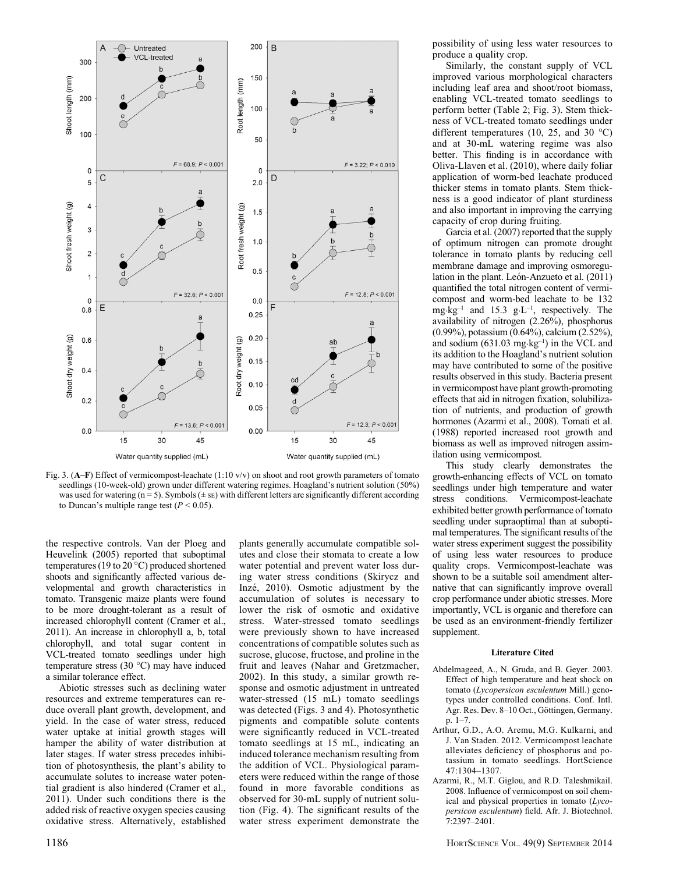

Fig. 3. (A–F) Effect of vermicompost-leachate (1:10 v/v) on shoot and root growth parameters of tomato seedlings (10-week-old) grown under different watering regimes. Hoagland's nutrient solution (50%) was used for watering  $(n = 5)$ . Symbols  $(\pm \text{ se})$  with different letters are significantly different according to Duncan's multiple range test ( $P < 0.05$ ).

the respective controls. Van der Ploeg and Heuvelink (2005) reported that suboptimal temperatures (19 to 20 °C) produced shortened shoots and significantly affected various developmental and growth characteristics in tomato. Transgenic maize plants were found to be more drought-tolerant as a result of increased chlorophyll content (Cramer et al., 2011). An increase in chlorophyll a, b, total chlorophyll, and total sugar content in VCL-treated tomato seedlings under high temperature stress  $(30 °C)$  may have induced a similar tolerance effect.

Abiotic stresses such as declining water resources and extreme temperatures can reduce overall plant growth, development, and yield. In the case of water stress, reduced water uptake at initial growth stages will hamper the ability of water distribution at later stages. If water stress precedes inhibition of photosynthesis, the plant's ability to accumulate solutes to increase water potential gradient is also hindered (Cramer et al., 2011). Under such conditions there is the added risk of reactive oxygen species causing oxidative stress. Alternatively, established plants generally accumulate compatible solutes and close their stomata to create a low water potential and prevent water loss during water stress conditions (Skirycz and Inzé, 2010). Osmotic adjustment by the accumulation of solutes is necessary to lower the risk of osmotic and oxidative stress. Water-stressed tomato seedlings were previously shown to have increased concentrations of compatible solutes such as sucrose, glucose, fructose, and proline in the fruit and leaves (Nahar and Gretzmacher, 2002). In this study, a similar growth response and osmotic adjustment in untreated water-stressed (15 mL) tomato seedlings was detected (Figs. 3 and 4). Photosynthetic pigments and compatible solute contents were significantly reduced in VCL-treated tomato seedlings at 15 mL, indicating an induced tolerance mechanism resulting from the addition of VCL. Physiological parameters were reduced within the range of those found in more favorable conditions as observed for 30-mL supply of nutrient solution (Fig. 4). The significant results of the water stress experiment demonstrate the

possibility of using less water resources to produce a quality crop.

Similarly, the constant supply of VCL improved various morphological characters including leaf area and shoot/root biomass, enabling VCL-treated tomato seedlings to perform better (Table 2; Fig. 3). Stem thickness of VCL-treated tomato seedlings under different temperatures (10, 25, and 30  $^{\circ}$ C) and at 30-mL watering regime was also better. This finding is in accordance with Oliva-Llaven et al. (2010), where daily foliar application of worm-bed leachate produced thicker stems in tomato plants. Stem thickness is a good indicator of plant sturdiness and also important in improving the carrying capacity of crop during fruiting.

Garcia et al. (2007) reported that the supply of optimum nitrogen can promote drought tolerance in tomato plants by reducing cell membrane damage and improving osmoregulation in the plant. León-Anzueto et al.  $(2011)$ quantified the total nitrogen content of vermicompost and worm-bed leachate to be 132 mg·kg<sup>-1</sup> and 15.3 g·L<sup>-1</sup>, respectively. The availability of nitrogen (2.26%), phosphorus (0.99%), potassium (0.64%), calcium (2.52%), and sodium  $(631.03 \text{ mg} \cdot \text{kg}^{-1})$  in the VCL and its addition to the Hoagland's nutrient solution may have contributed to some of the positive results observed in this study. Bacteria present in vermicompost have plant growth-promoting effects that aid in nitrogen fixation, solubilization of nutrients, and production of growth hormones (Azarmi et al., 2008). Tomati et al. (1988) reported increased root growth and biomass as well as improved nitrogen assimilation using vermicompost.

This study clearly demonstrates the growth-enhancing effects of VCL on tomato seedlings under high temperature and water stress conditions. Vermicompost-leachate exhibited better growth performance of tomato seedling under supraoptimal than at suboptimal temperatures. The significant results of the water stress experiment suggest the possibility of using less water resources to produce quality crops. Vermicompost-leachate was shown to be a suitable soil amendment alternative that can significantly improve overall crop performance under abiotic stresses. More importantly, VCL is organic and therefore can be used as an environment-friendly fertilizer supplement.

#### Literature Cited

- Abdelmageed, A., N. Gruda, and B. Geyer. 2003. Effect of high temperature and heat shock on tomato (Lycopersicon esculentum Mill.) genotypes under controlled conditions. Conf. Intl. Agr. Res. Dev. 8–10 Oct., Göttingen, Germany. p. 1–7.
- Arthur, G.D., A.O. Aremu, M.G. Kulkarni, and J. Van Staden. 2012. Vermicompost leachate alleviates deficiency of phosphorus and potassium in tomato seedlings. HortScience 47:1304–1307.
- Azarmi, R., M.T. Giglou, and R.D. Taleshmikail. 2008. Influence of vermicompost on soil chemical and physical properties in tomato (Lycopersicon esculentum) field. Afr. J. Biotechnol. 7:2397–2401.

1186 HORTSCIENCE VOL. 49(9) SEPTEMBER 2014